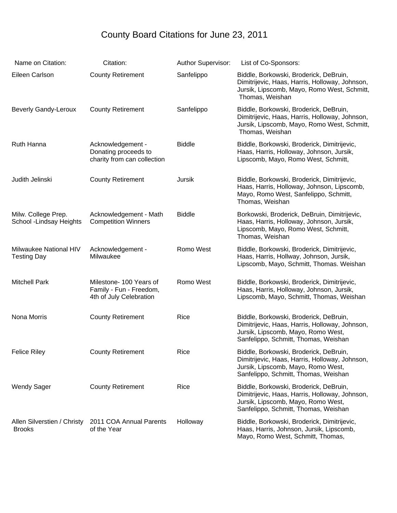## County Board Citations for June 23, 2011

| Name on Citation:                               | Citation:                                                                     | <b>Author Supervisor:</b> | List of Co-Sponsors:                                                                                                                                                   |
|-------------------------------------------------|-------------------------------------------------------------------------------|---------------------------|------------------------------------------------------------------------------------------------------------------------------------------------------------------------|
| Eileen Carlson                                  | <b>County Retirement</b>                                                      | Sanfelippo                | Biddle, Borkowski, Broderick, DeBruin,<br>Dimitrijevic, Haas, Harris, Holloway, Johnson,<br>Jursik, Lipscomb, Mayo, Romo West, Schmitt,<br>Thomas, Weishan             |
| <b>Beverly Gandy-Leroux</b>                     | <b>County Retirement</b>                                                      | Sanfelippo                | Biddle, Borkowski, Broderick, DeBruin,<br>Dimitrijevic, Haas, Harris, Holloway, Johnson,<br>Jursik, Lipscomb, Mayo, Romo West, Schmitt,<br>Thomas, Weishan             |
| <b>Ruth Hanna</b>                               | Acknowledgement -<br>Donating proceeds to<br>charity from can collection      | <b>Biddle</b>             | Biddle, Borkowski, Broderick, Dimitrijevic,<br>Haas, Harris, Holloway, Johnson, Jursik,<br>Lipscomb, Mayo, Romo West, Schmitt,                                         |
| Judith Jelinski                                 | <b>County Retirement</b>                                                      | Jursik                    | Biddle, Borkowski, Broderick, Dimitrijevic,<br>Haas, Harris, Holloway, Johnson, Lipscomb,<br>Mayo, Romo West, Sanfelippo, Schmitt,<br>Thomas, Weishan                  |
| Milw. College Prep.<br>School - Lindsay Heights | Acknowledgement - Math<br><b>Competition Winners</b>                          | <b>Biddle</b>             | Borkowski, Broderick, DeBruin, Dimitrijevic,<br>Haas, Harris, Holloway, Johnson, Jursik,<br>Lipscomb, Mayo, Romo West, Schmitt,<br>Thomas, Weishan                     |
| Milwaukee National HIV<br><b>Testing Day</b>    | Acknowledgement -<br>Milwaukee                                                | Romo West                 | Biddle, Borkowski, Broderick, Dimitrijevic,<br>Haas, Harris, Hollway, Johnson, Jursik,<br>Lipscomb, Mayo, Schmitt, Thomas. Weishan                                     |
| <b>Mitchell Park</b>                            | Milestone- 100 Years of<br>Family - Fun - Freedom,<br>4th of July Celebration | Romo West                 | Biddle, Borkowski, Broderick, Dimitrijevic,<br>Haas, Harris, Holloway, Johnson, Jursik,<br>Lipscomb, Mayo, Schmitt, Thomas, Weishan                                    |
| Nona Morris                                     | <b>County Retirement</b>                                                      | Rice                      | Biddle, Borkowski, Broderick, DeBruin,<br>Dimitrijevic, Haas, Harris, Holloway, Johnson,<br>Jursik, Lipscomb, Mayo, Romo West,<br>Sanfelippo, Schmitt, Thomas, Weishan |
| <b>Felice Riley</b>                             | <b>County Retirement</b>                                                      | Rice                      | Biddle, Borkowski, Broderick, DeBruin,<br>Dimitrijevic, Haas, Harris, Holloway, Johnson,<br>Jursik, Lipscomb, Mayo, Romo West,<br>Sanfelippo, Schmitt, Thomas, Weishan |
| <b>Wendy Sager</b>                              | <b>County Retirement</b>                                                      | Rice                      | Biddle, Borkowski, Broderick, DeBruin,<br>Dimitrijevic, Haas, Harris, Holloway, Johnson,<br>Jursik, Lipscomb, Mayo, Romo West,<br>Sanfelippo, Schmitt, Thomas, Weishan |
| Allen Silverstien / Christy<br><b>Brooks</b>    | 2011 COA Annual Parents<br>of the Year                                        | Holloway                  | Biddle, Borkowski, Broderick, Dimitrijevic,<br>Haas, Harris, Johnson, Jursik, Lipscomb,<br>Mayo, Romo West, Schmitt, Thomas,                                           |